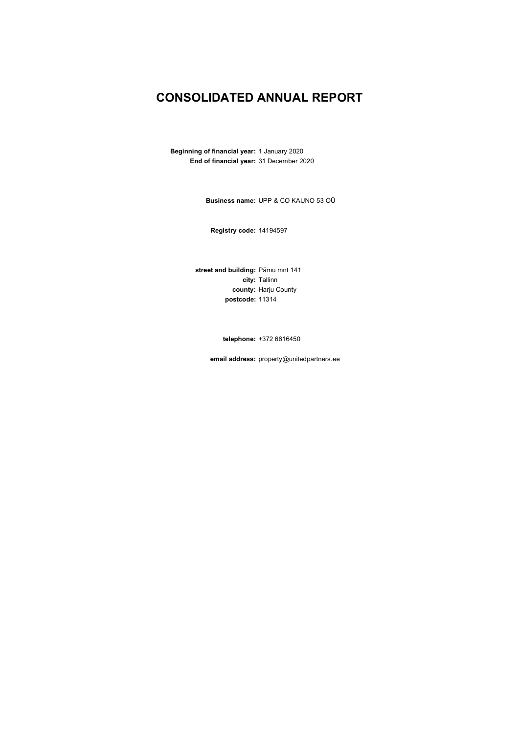### **CONSOLIDATED ANNUAL REPORT**

**Beginning of financial year:** 1 January 2020 **End of financial year:** 31 December 2020

**Business name:** UPP & CO KAUNO 53 OÜ

**Registry code:** 14194597

**street and building:** Pärnu mnt 141 **city:** Tallinn **county:** Harju County **postcode:** 11314

**telephone:** +372 6616450

**email address:** property@unitedpartners.ee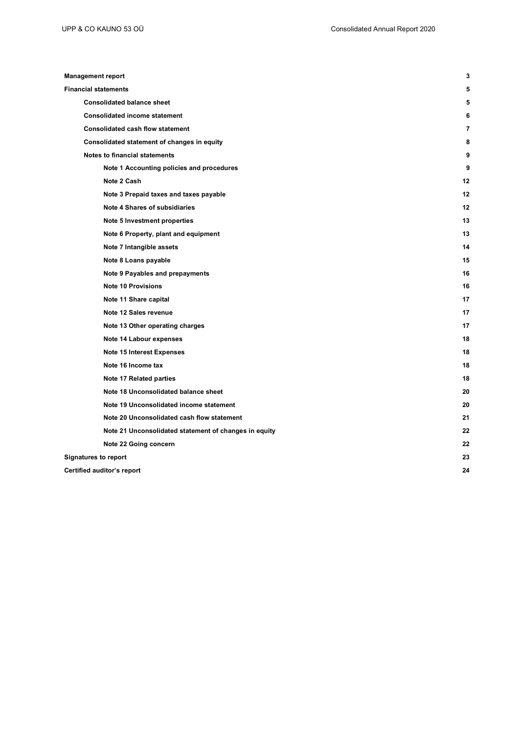| <b>Management report</b>                              |    |
|-------------------------------------------------------|----|
| <b>Financial statements</b>                           |    |
| <b>Consolidated balance sheet</b>                     |    |
| <b>Consolidated income statement</b>                  |    |
| <b>Consolidated cash flow statement</b>               |    |
| Consolidated statement of changes in equity           |    |
| <b>Notes to financial statements</b>                  | ë  |
| Note 1 Accounting policies and procedures             |    |
| Note 2 Cash                                           | 12 |
| Note 3 Prepaid taxes and taxes payable                | 12 |
| Note 4 Shares of subsidiaries                         | 12 |
| Note 5 Investment properties                          | 13 |
| Note 6 Property, plant and equipment                  | 13 |
| Note 7 Intangible assets                              | 14 |
| Note 8 Loans payable                                  | 15 |
| Note 9 Payables and prepayments                       | 16 |
| <b>Note 10 Provisions</b>                             | 16 |
| Note 11 Share capital                                 | 17 |
| Note 12 Sales revenue                                 | 17 |
| Note 13 Other operating charges                       | 17 |
| Note 14 Labour expenses                               | 18 |
| <b>Note 15 Interest Expenses</b>                      | 18 |
| Note 16 Income tax                                    | 18 |
| Note 17 Related parties                               | 18 |
| Note 18 Unconsolidated balance sheet                  | 20 |
| Note 19 Unconsolidated income statement               | 20 |
| Note 20 Unconsolidated cash flow statement            | 21 |
| Note 21 Unconsolidated statement of changes in equity | 22 |
| Note 22 Going concern                                 | 22 |
| <b>Signatures to report</b>                           | 23 |
| Certified auditor's report                            | 24 |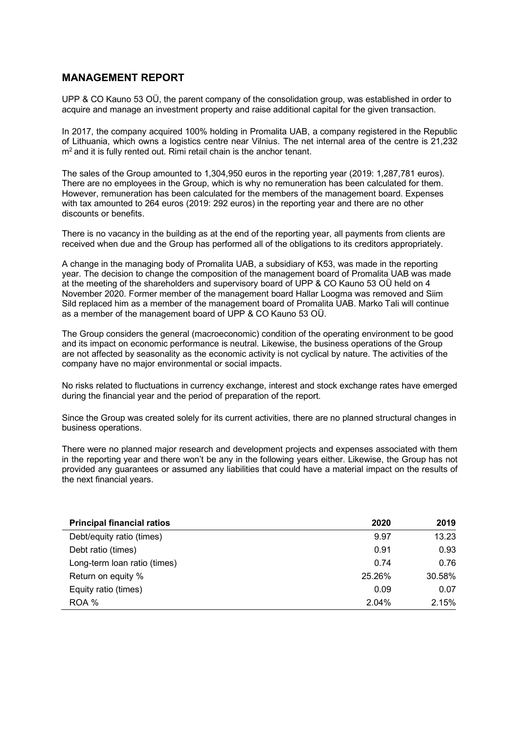### **MANAGEMENT REPORT**

UPP & CO Kauno 53 OÜ, the parent company of the consolidation group, was established in order to acquire and manage an investment property and raise additional capital for the given transaction.

In 2017, the company acquired 100% holding in Promalita UAB, a company registered in the Republic of Lithuania, which owns a logistics centre near Vilnius. The net internal area of the centre is 21,232  $m<sup>2</sup>$  and it is fully rented out. Rimi retail chain is the anchor tenant.

The sales of the Group amounted to 1,304,950 euros in the reporting year (2019: 1,287,781 euros). There are no employees in the Group, which is why no remuneration has been calculated for them. However, remuneration has been calculated for the members of the management board. Expenses with tax amounted to 264 euros (2019: 292 euros) in the reporting year and there are no other discounts or benefits.

There is no vacancy in the building as at the end of the reporting year, all payments from clients are received when due and the Group has performed all of the obligations to its creditors appropriately.

A change in the managing body of Promalita UAB, a subsidiary of K53, was made in the reporting year. The decision to change the composition of the management board of Promalita UAB was made at the meeting of the shareholders and supervisory board of UPP & CO Kauno 53 OÜ held on 4 November 2020. Former member of the management board Hallar Loogma was removed and Siim Sild replaced him as a member of the management board of Promalita UAB. Marko Tali will continue as a member of the management board of UPP & CO Kauno 53 OÜ.

The Group considers the general (macroeconomic) condition of the operating environment to be good and its impact on economic performance is neutral. Likewise, the business operations of the Group are not affected by seasonality as the economic activity is not cyclical by nature. The activities of the company have no major environmental or social impacts.

No risks related to fluctuations in currency exchange, interest and stock exchange rates have emerged during the financial year and the period of preparation of the report.

Since the Group was created solely for its current activities, there are no planned structural changes in business operations.

There were no planned major research and development projects and expenses associated with them in the reporting year and there won't be any in the following years either. Likewise, the Group has not provided any guarantees or assumed any liabilities that could have a material impact on the results of the next financial years.

| <b>Principal financial ratios</b> | 2020   | 2019   |
|-----------------------------------|--------|--------|
| Debt/equity ratio (times)         | 9.97   | 13.23  |
| Debt ratio (times)                | 0.91   | 0.93   |
| Long-term loan ratio (times)      | 0.74   | 0.76   |
| Return on equity %                | 25.26% | 30.58% |
| Equity ratio (times)              | 0.09   | 0.07   |
| ROA %                             | 2.04%  | 2.15%  |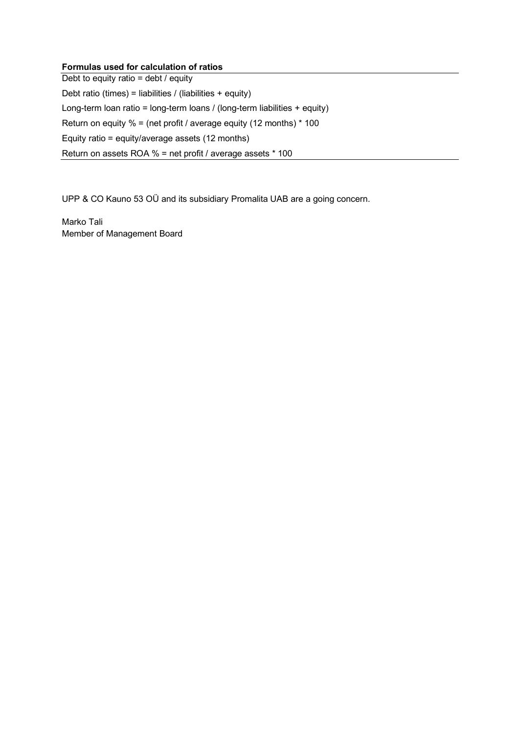### **Formulas used for calculation of ratios**

Debt to equity ratio =  $\text{debt}$  / equity Debt ratio (times) = liabilities / (liabilities + equity) Long-term loan ratio = long-term loans / (long-term liabilities + equity) Return on equity % = (net profit / average equity (12 months) \* 100 Equity ratio = equity/average assets (12 months) Return on assets ROA % = net profit / average assets \* 100

UPP & CO Kauno 53 OÜ and its subsidiary Promalita UAB are a going concern.

Marko Tali Member of Management Board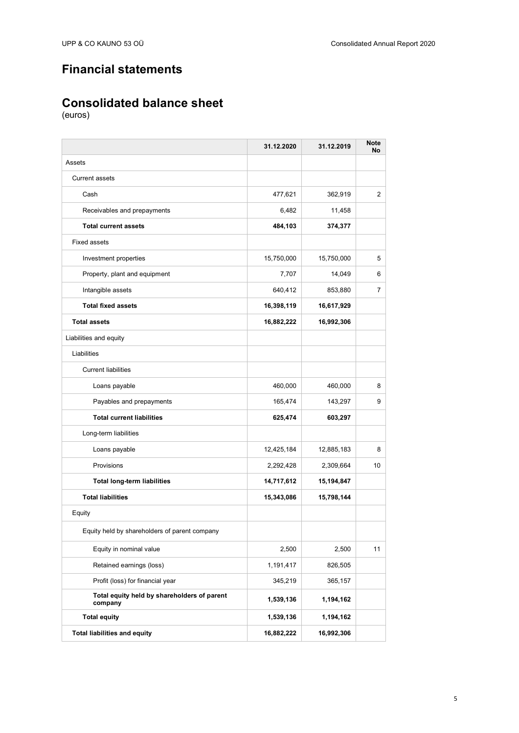## **Financial statements**

## **Consolidated balance sheet**

|                                                        | 31.12.2020 | 31.12.2019 | <b>Note</b><br>No |
|--------------------------------------------------------|------------|------------|-------------------|
| Assets                                                 |            |            |                   |
| <b>Current assets</b>                                  |            |            |                   |
| Cash                                                   | 477,621    | 362,919    | $\overline{2}$    |
| Receivables and prepayments                            | 6,482      | 11,458     |                   |
| <b>Total current assets</b>                            | 484,103    | 374,377    |                   |
| <b>Fixed assets</b>                                    |            |            |                   |
| Investment properties                                  | 15,750,000 | 15,750,000 | 5                 |
| Property, plant and equipment                          | 7,707      | 14,049     | 6                 |
| Intangible assets                                      | 640,412    | 853,880    | 7                 |
| <b>Total fixed assets</b>                              | 16,398,119 | 16,617,929 |                   |
| <b>Total assets</b>                                    | 16,882,222 | 16,992,306 |                   |
| Liabilities and equity                                 |            |            |                   |
| Liabilities                                            |            |            |                   |
| <b>Current liabilities</b>                             |            |            |                   |
| Loans payable                                          | 460,000    | 460,000    | 8                 |
| Payables and prepayments                               | 165,474    | 143,297    | 9                 |
| <b>Total current liabilities</b>                       | 625,474    | 603,297    |                   |
| Long-term liabilities                                  |            |            |                   |
| Loans payable                                          | 12,425,184 | 12,885,183 | 8                 |
| Provisions                                             | 2,292,428  | 2,309,664  | 10                |
| <b>Total long-term liabilities</b>                     | 14,717,612 | 15,194,847 |                   |
| <b>Total liabilities</b>                               | 15,343,086 | 15,798,144 |                   |
| Equity                                                 |            |            |                   |
| Equity held by shareholders of parent company          |            |            |                   |
| Equity in nominal value                                | 2,500      | 2,500      | 11                |
| Retained earnings (loss)                               | 1,191,417  | 826,505    |                   |
| Profit (loss) for financial year                       | 345,219    | 365,157    |                   |
| Total equity held by shareholders of parent<br>company | 1,539,136  | 1,194,162  |                   |
| <b>Total equity</b>                                    | 1,539,136  | 1,194,162  |                   |
| <b>Total liabilities and equity</b>                    | 16,882,222 | 16,992,306 |                   |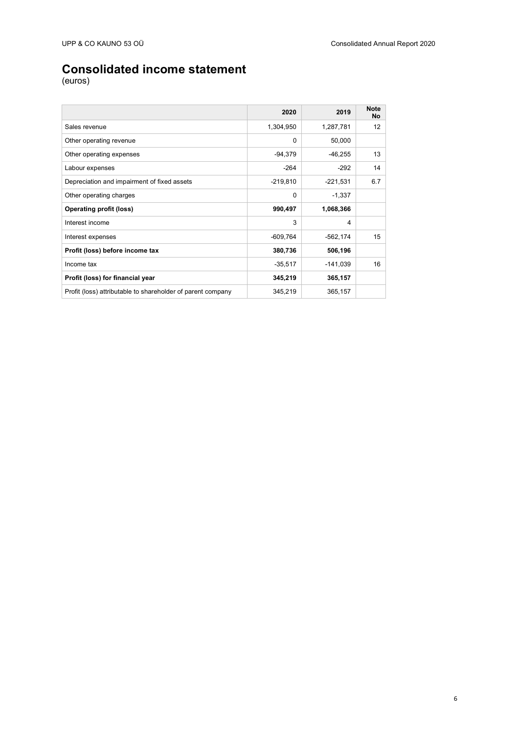## **Consolidated income statement**

|                                                             | 2020       | 2019       | <b>Note</b><br>No |
|-------------------------------------------------------------|------------|------------|-------------------|
| Sales revenue                                               | 1,304,950  | 1,287,781  | 12                |
| Other operating revenue                                     | $\Omega$   | 50,000     |                   |
| Other operating expenses                                    | -94,379    | $-46,255$  | 13                |
| Labour expenses                                             | $-264$     | $-292$     | 14                |
| Depreciation and impairment of fixed assets                 | $-219,810$ | $-221,531$ | 6.7               |
| Other operating charges                                     | $\Omega$   | $-1,337$   |                   |
| <b>Operating profit (loss)</b>                              | 990,497    | 1,068,366  |                   |
| Interest income                                             | 3          | 4          |                   |
| Interest expenses                                           | $-609,764$ | $-562,174$ | 15                |
| Profit (loss) before income tax                             | 380,736    | 506,196    |                   |
| Income tax                                                  | $-35,517$  | $-141,039$ | 16                |
| Profit (loss) for financial year                            | 345,219    | 365,157    |                   |
| Profit (loss) attributable to shareholder of parent company | 345,219    | 365,157    |                   |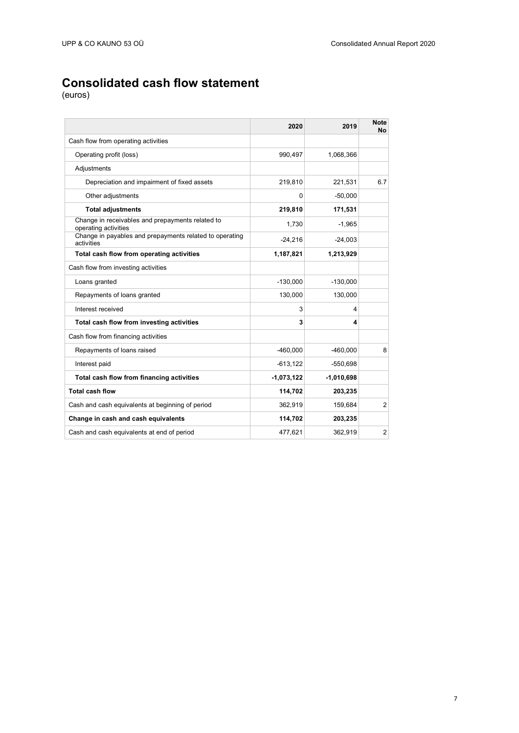## **Consolidated cash flow statement**

|                                                                          | 2020         | 2019         | <b>Note</b><br>Nol |
|--------------------------------------------------------------------------|--------------|--------------|--------------------|
| Cash flow from operating activities                                      |              |              |                    |
| Operating profit (loss)                                                  | 990,497      | 1,068,366    |                    |
| Adjustments                                                              |              |              |                    |
| Depreciation and impairment of fixed assets                              | 219,810      | 221,531      | 6.7                |
| Other adjustments                                                        | 0            | $-50,000$    |                    |
| <b>Total adjustments</b>                                                 | 219,810      | 171,531      |                    |
| Change in receivables and prepayments related to<br>operating activities | 1,730        | $-1,965$     |                    |
| Change in payables and prepayments related to operating<br>activities    | $-24,216$    | $-24,003$    |                    |
| Total cash flow from operating activities                                | 1,187,821    | 1,213,929    |                    |
| Cash flow from investing activities                                      |              |              |                    |
| Loans granted                                                            | $-130,000$   | $-130,000$   |                    |
| Repayments of loans granted                                              | 130,000      | 130,000      |                    |
| Interest received                                                        | 3            | 4            |                    |
| Total cash flow from investing activities                                | 3            | 4            |                    |
| Cash flow from financing activities                                      |              |              |                    |
| Repayments of loans raised                                               | $-460,000$   | $-460,000$   | 8 <sup>1</sup>     |
| Interest paid                                                            | $-613, 122$  | $-550,698$   |                    |
| Total cash flow from financing activities                                | $-1,073,122$ | $-1,010,698$ |                    |
| <b>Total cash flow</b>                                                   | 114,702      | 203,235      |                    |
| Cash and cash equivalents at beginning of period                         | 362,919      | 159,684      | $\overline{2}$     |
| Change in cash and cash equivalents                                      | 114,702      | 203,235      |                    |
| Cash and cash equivalents at end of period                               | 477,621      | 362,919      | $\overline{2}$     |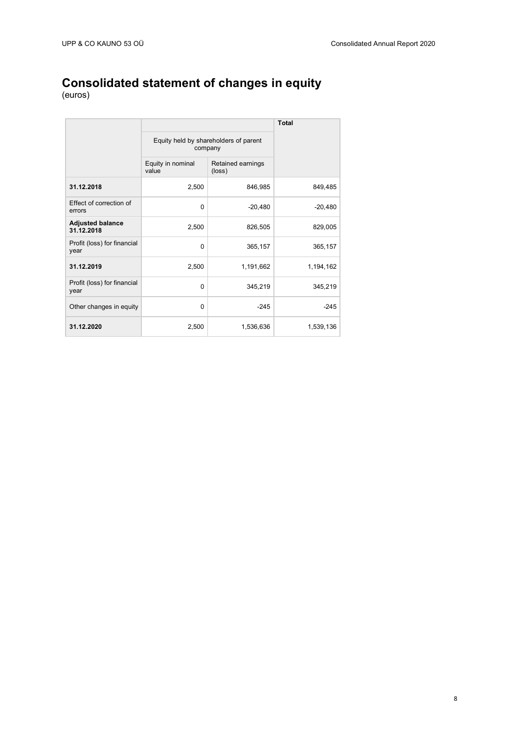### **Consolidated statement of changes in equity**

|                                       |                                                                    |           | <b>Total</b> |
|---------------------------------------|--------------------------------------------------------------------|-----------|--------------|
|                                       | Equity held by shareholders of parent<br>company                   |           |              |
|                                       | Equity in nominal<br>Retained earnings<br>value<br>$(\text{loss})$ |           |              |
| 31.12.2018                            | 2,500                                                              | 846,985   | 849,485      |
| Effect of correction of<br>errors     | $\Omega$                                                           | $-20,480$ | $-20,480$    |
| <b>Adjusted balance</b><br>31.12.2018 | 2,500                                                              | 826,505   | 829,005      |
| Profit (loss) for financial<br>year   | $\Omega$                                                           | 365,157   | 365,157      |
| 31.12.2019                            | 2,500                                                              | 1,191,662 | 1,194,162    |
| Profit (loss) for financial<br>year   | $\Omega$                                                           | 345,219   | 345,219      |
| Other changes in equity               | $\Omega$                                                           | $-245$    | $-245$       |
| 31.12.2020                            | 2,500                                                              | 1,536,636 | 1,539,136    |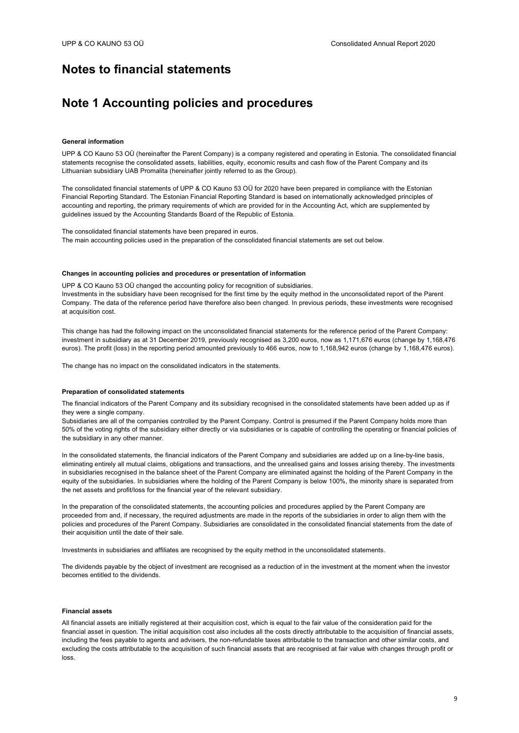### **Notes to financial statements**

### **Note 1 Accounting policies and procedures**

#### **General information**

UPP & CO Kauno 53 OÜ (hereinafter the Parent Company) is a company registered and operating in Estonia. The consolidated financial statements recognise the consolidated assets, liabilities, equity, economic results and cash flow of the Parent Company and its Lithuanian subsidiary UAB Promalita (hereinafter jointly referred to as the Group).

The consolidated financial statements of UPP & CO Kauno 53 OÜ for 2020 have been prepared in compliance with the Estonian Financial Reporting Standard. The Estonian Financial Reporting Standard is based on internationally acknowledged principles of accounting and reporting, the primary requirements of which are provided for in the Accounting Act, which are supplemented by guidelines issued by the Accounting Standards Board of the Republic of Estonia.

The consolidated financial statements have been prepared in euros. The main accounting policies used in the preparation of the consolidated financial statements are set out below.

### **Changes in accounting policies and procedures or presentation of information**

UPP & CO Kauno 53 OÜ changed the accounting policy for recognition of subsidiaries.

Investments in the subsidiary have been recognised for the first time by the equity method in the unconsolidated report of the Parent Company. The data of the reference period have therefore also been changed. In previous periods, these investments were recognised at acquisition cost.

This change has had the following impact on the unconsolidated financial statements for the reference period of the Parent Company: investment in subsidiary as at 31 December 2019, previously recognised as 3,200 euros, now as 1,171,676 euros (change by 1,168,476 euros). The profit (loss) in the reporting period amounted previously to 466 euros, now to 1,168,942 euros (change by 1,168,476 euros).

The change has no impact on the consolidated indicators in the statements.

#### **Preparation of consolidated statements**

The financial indicators of the Parent Company and its subsidiary recognised in the consolidated statements have been added up as if they were a single company.

Subsidiaries are all of the companies controlled by the Parent Company. Control is presumed if the Parent Company holds more than 50% of the voting rights of the subsidiary either directly or via subsidiaries or is capable of controlling the operating or financial policies of the subsidiary in any other manner.

In the consolidated statements, the financial indicators of the Parent Company and subsidiaries are added up on a line-by-line basis, eliminating entirely all mutual claims, obligations and transactions, and the unrealised gains and losses arising thereby. The investments in subsidiaries recognised in the balance sheet of the Parent Company are eliminated against the holding of the Parent Company in the equity of the subsidiaries. In subsidiaries where the holding of the Parent Company is below 100%, the minority share is separated from the net assets and profit/loss for the financial year of the relevant subsidiary.

In the preparation of the consolidated statements, the accounting policies and procedures applied by the Parent Company are proceeded from and, if necessary, the required adjustments are made in the reports of the subsidiaries in order to align them with the policies and procedures of the Parent Company. Subsidiaries are consolidated in the consolidated financial statements from the date of their acquisition until the date of their sale.

Investments in subsidiaries and affiliates are recognised by the equity method in the unconsolidated statements.

The dividends payable by the object of investment are recognised as a reduction of in the investment at the moment when the investor becomes entitled to the dividends.

### **Financial assets**

All financial assets are initially registered at their acquisition cost, which is equal to the fair value of the consideration paid for the financial asset in question. The initial acquisition cost also includes all the costs directly attributable to the acquisition of financial assets, including the fees payable to agents and advisers, the non-refundable taxes attributable to the transaction and other similar costs, and excluding the costs attributable to the acquisition of such financial assets that are recognised at fair value with changes through profit or loss.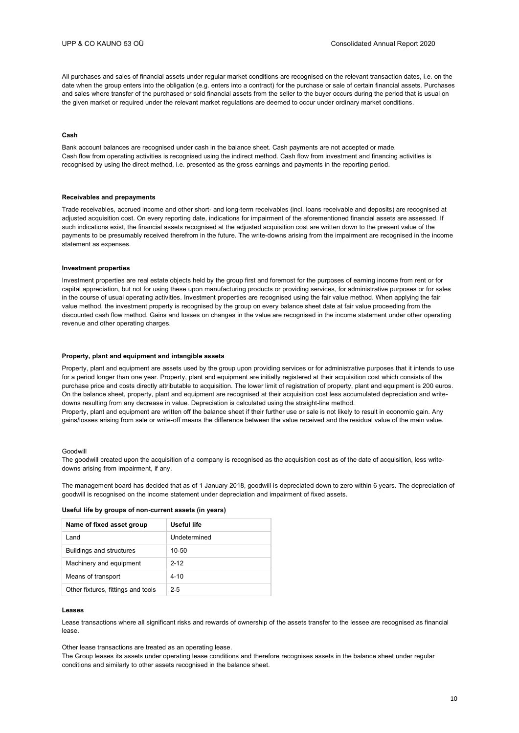All purchases and sales of financial assets under regular market conditions are recognised on the relevant transaction dates, i.e. on the date when the group enters into the obligation (e.g. enters into a contract) for the purchase or sale of certain financial assets. Purchases and sales where transfer of the purchased or sold financial assets from the seller to the buyer occurs during the period that is usual on the given market or required under the relevant market regulations are deemed to occur under ordinary market conditions.

#### **Cash**

Bank account balances are recognised under cash in the balance sheet. Cash payments are not accepted or made. Cash flow from operating activities is recognised using the indirect method. Cash flow from investment and financing activities is recognised by using the direct method, i.e. presented as the gross earnings and payments in the reporting period.

### **Receivables and prepayments**

Trade receivables, accrued income and other short- and long-term receivables (incl. loans receivable and deposits) are recognised at adjusted acquisition cost. On every reporting date, indications for impairment of the aforementioned financial assets are assessed. If such indications exist, the financial assets recognised at the adjusted acquisition cost are written down to the present value of the payments to be presumably received therefrom in the future. The write-downs arising from the impairment are recognised in the income statement as expenses.

#### **Investment properties**

Investment properties are real estate objects held by the group first and foremost for the purposes of earning income from rent or for capital appreciation, but not for using these upon manufacturing products or providing services, for administrative purposes or for sales in the course of usual operating activities. Investment properties are recognised using the fair value method. When applying the fair value method, the investment property is recognised by the group on every balance sheet date at fair value proceeding from the discounted cash flow method. Gains and losses on changes in the value are recognised in the income statement under other operating revenue and other operating charges.

#### **Property, plant and equipment and intangible assets**

Property, plant and equipment are assets used by the group upon providing services or for administrative purposes that it intends to use for a period longer than one year. Property, plant and equipment are initially registered at their acquisition cost which consists of the purchase price and costs directly attributable to acquisition. The lower limit of registration of property, plant and equipment is 200 euros. On the balance sheet, property, plant and equipment are recognised at their acquisition cost less accumulated depreciation and writedowns resulting from any decrease in value. Depreciation is calculated using the straight-line method. Property, plant and equipment are written off the balance sheet if their further use or sale is not likely to result in economic gain. Any gains/losses arising from sale or write-off means the difference between the value received and the residual value of the main value.

#### Goodwill

The goodwill created upon the acquisition of a company is recognised as the acquisition cost as of the date of acquisition, less writedowns arising from impairment, if any.

The management board has decided that as of 1 January 2018, goodwill is depreciated down to zero within 6 years. The depreciation of goodwill is recognised on the income statement under depreciation and impairment of fixed assets.

| Name of fixed asset group          | Useful life  |
|------------------------------------|--------------|
| l and                              | Undetermined |
| <b>Buildings and structures</b>    | 10-50        |
| Machinery and equipment            | $2 - 12$     |
| Means of transport                 | $4 - 10$     |
| Other fixtures, fittings and tools | $2 - 5$      |

#### **Leases**

Lease transactions where all significant risks and rewards of ownership of the assets transfer to the lessee are recognised as financial lease.

Other lease transactions are treated as an operating lease.

The Group leases its assets under operating lease conditions and therefore recognises assets in the balance sheet under regular conditions and similarly to other assets recognised in the balance sheet.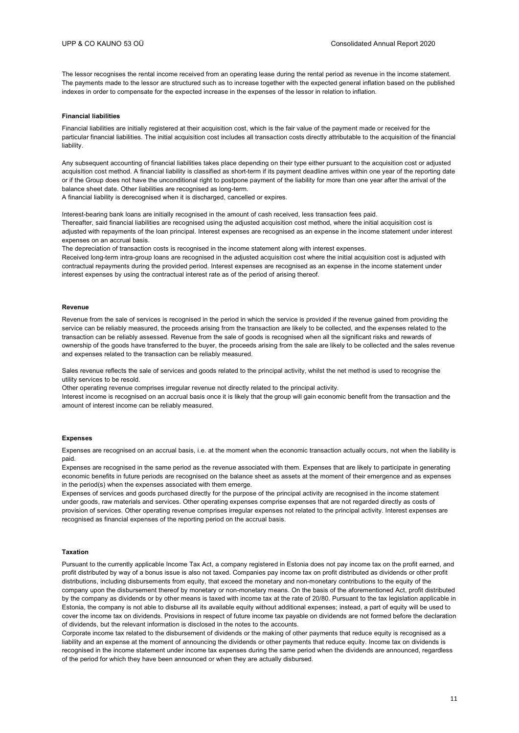The lessor recognises the rental income received from an operating lease during the rental period as revenue in the income statement. The payments made to the lessor are structured such as to increase together with the expected general inflation based on the published indexes in order to compensate for the expected increase in the expenses of the lessor in relation to inflation.

#### **Financial liabilities**

Financial liabilities are initially registered at their acquisition cost, which is the fair value of the payment made or received for the particular financial liabilities. The initial acquisition cost includes all transaction costs directly attributable to the acquisition of the financial liability.

Any subsequent accounting of financial liabilities takes place depending on their type either pursuant to the acquisition cost or adjusted acquisition cost method. A financial liability is classified as short-term if its payment deadline arrives within one year of the reporting date or if the Group does not have the unconditional right to postpone payment of the liability for more than one year after the arrival of the balance sheet date. Other liabilities are recognised as long-term.

A financial liability is derecognised when it is discharged, cancelled or expires.

Interest-bearing bank loans are initially recognised in the amount of cash received, less transaction fees paid. Thereafter, said financial liabilities are recognised using the adjusted acquisition cost method, where the initial acquisition cost is adjusted with repayments of the loan principal. Interest expenses are recognised as an expense in the income statement under interest expenses on an accrual basis.

The depreciation of transaction costs is recognised in the income statement along with interest expenses. Received long-term intra-group loans are recognised in the adjusted acquisition cost where the initial acquisition cost is adjusted with contractual repayments during the provided period. Interest expenses are recognised as an expense in the income statement under interest expenses by using the contractual interest rate as of the period of arising thereof.

#### **Revenue**

Revenue from the sale of services is recognised in the period in which the service is provided if the revenue gained from providing the service can be reliably measured, the proceeds arising from the transaction are likely to be collected, and the expenses related to the transaction can be reliably assessed. Revenue from the sale of goods is recognised when all the significant risks and rewards of ownership of the goods have transferred to the buyer, the proceeds arising from the sale are likely to be collected and the sales revenue and expenses related to the transaction can be reliably measured.

Sales revenue reflects the sale of services and goods related to the principal activity, whilst the net method is used to recognise the utility services to be resold.

Other operating revenue comprises irregular revenue not directly related to the principal activity.

Interest income is recognised on an accrual basis once it is likely that the group will gain economic benefit from the transaction and the amount of interest income can be reliably measured.

### **Expenses**

Expenses are recognised on an accrual basis, i.e. at the moment when the economic transaction actually occurs, not when the liability is paid.

Expenses are recognised in the same period as the revenue associated with them. Expenses that are likely to participate in generating economic benefits in future periods are recognised on the balance sheet as assets at the moment of their emergence and as expenses in the period(s) when the expenses associated with them emerge.

Expenses of services and goods purchased directly for the purpose of the principal activity are recognised in the income statement under goods, raw materials and services. Other operating expenses comprise expenses that are not regarded directly as costs of provision of services. Other operating revenue comprises irregular expenses not related to the principal activity. Interest expenses are recognised as financial expenses of the reporting period on the accrual basis.

### **Taxation**

Pursuant to the currently applicable Income Tax Act, a company registered in Estonia does not pay income tax on the profit earned, and profit distributed by way of a bonus issue is also not taxed. Companies pay income tax on profit distributed as dividends or other profit distributions, including disbursements from equity, that exceed the monetary and non-monetary contributions to the equity of the company upon the disbursement thereof by monetary or non-monetary means. On the basis of the aforementioned Act, profit distributed by the company as dividends or by other means is taxed with income tax at the rate of 20/80. Pursuant to the tax legislation applicable in Estonia, the company is not able to disburse all its available equity without additional expenses; instead, a part of equity will be used to cover the income tax on dividends. Provisions in respect of future income tax payable on dividends are not formed before the declaration of dividends, but the relevant information is disclosed in the notes to the accounts.

Corporate income tax related to the disbursement of dividends or the making of other payments that reduce equity is recognised as a liability and an expense at the moment of announcing the dividends or other payments that reduce equity. Income tax on dividends is recognised in the income statement under income tax expenses during the same period when the dividends are announced, regardless of the period for which they have been announced or when they are actually disbursed.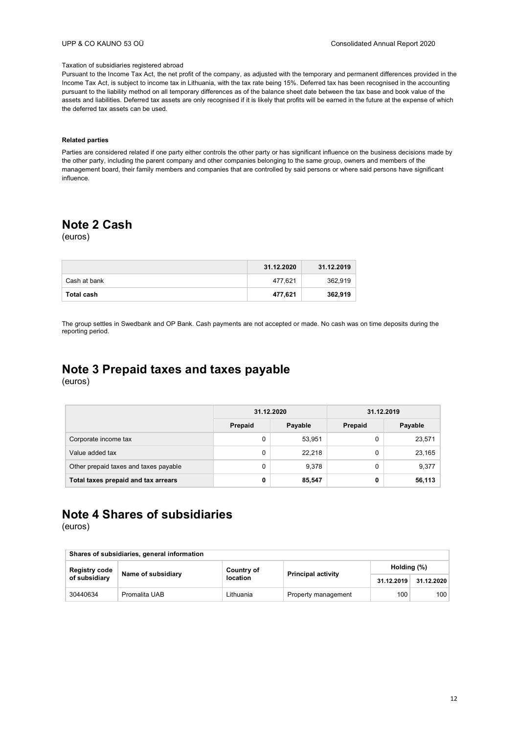### Taxation of subsidiaries registered abroad

Pursuant to the Income Tax Act, the net profit of the company, as adjusted with the temporary and permanent differences provided in the Income Tax Act, is subject to income tax in Lithuania, with the tax rate being 15%. Deferred tax has been recognised in the accounting pursuant to the liability method on all temporary differences as of the balance sheet date between the tax base and book value of the assets and liabilities. Deferred tax assets are only recognised if it is likely that profits will be earned in the future at the expense of which the deferred tax assets can be used.

### **Related parties**

Parties are considered related if one party either controls the other party or has significant influence on the business decisions made by the other party, including the parent company and other companies belonging to the same group, owners and members of the management board, their family members and companies that are controlled by said persons or where said persons have significant influence.

### **Note 2 Cash**

(euros)

|              | 31.12.2020 | 31.12.2019 |
|--------------|------------|------------|
| Cash at bank | 477,621    | 362,919    |
| Total cash   | 477,621    | 362,919    |

The group settles in Swedbank and OP Bank. Cash payments are not accepted or made. No cash was on time deposits during the reporting period.

## **Note 3 Prepaid taxes and taxes payable**

(euros)

|                                       | 31.12.2020 |         | 31.12.2019 |         |  |
|---------------------------------------|------------|---------|------------|---------|--|
|                                       | Prepaid    | Payable | Prepaid    | Payable |  |
| Corporate income tax                  | 0          | 53,951  | 0          | 23,571  |  |
| Value added tax                       | 0          | 22.218  | 0          | 23,165  |  |
| Other prepaid taxes and taxes payable | 0          | 9,378   | 0          | 9,377   |  |
| Total taxes prepaid and tax arrears   | 0          | 85,547  | 0          | 56,113  |  |

## **Note 4 Shares of subsidiaries**

| Shares of subsidiaries, general information |                    |                 |                     |                           |             |  |
|---------------------------------------------|--------------------|-----------------|---------------------|---------------------------|-------------|--|
| Registry code                               | Name of subsidiary | Country of      |                     | <b>Principal activity</b> | Holding (%) |  |
| of subsidiary                               |                    | <b>location</b> |                     | 31.12.2019                | 31.12.2020  |  |
| 30440634                                    | Promalita UAB      | Lithuania       | Property management | 100                       | 100         |  |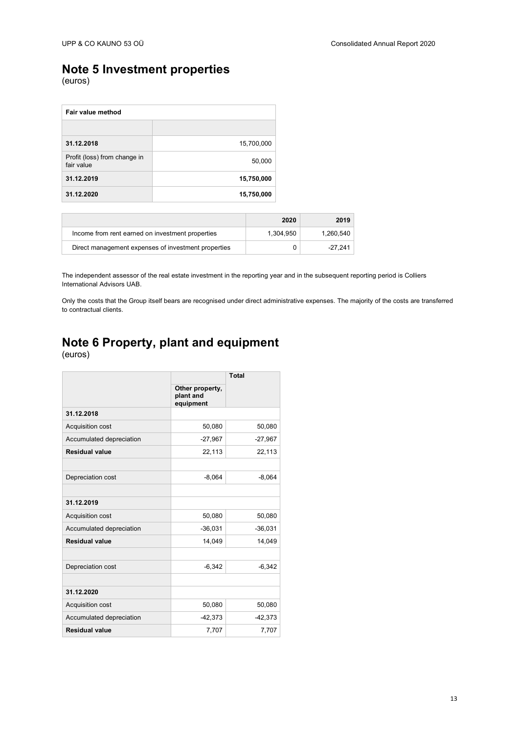### **Note 5 Investment properties**

(euros)

| Fair value method                          |            |  |  |
|--------------------------------------------|------------|--|--|
|                                            |            |  |  |
| 31.12.2018                                 | 15,700,000 |  |  |
| Profit (loss) from change in<br>fair value | 50,000     |  |  |
| 31.12.2019                                 | 15,750,000 |  |  |
| 31.12.2020                                 | 15,750,000 |  |  |

|                                                     | 2020      | 2019      |
|-----------------------------------------------------|-----------|-----------|
| Income from rent earned on investment properties    | 1.304.950 | 1.260.540 |
| Direct management expenses of investment properties | 0         | -27.241   |

The independent assessor of the real estate investment in the reporting year and in the subsequent reporting period is Colliers International Advisors UAB.

Only the costs that the Group itself bears are recognised under direct administrative expenses. The majority of the costs are transferred to contractual clients.

# **Note 6 Property, plant and equipment**

|                          |                                           | <b>Total</b> |
|--------------------------|-------------------------------------------|--------------|
|                          | Other property,<br>plant and<br>equipment |              |
| 31.12.2018               |                                           |              |
| Acquisition cost         | 50,080                                    | 50,080       |
| Accumulated depreciation | $-27,967$                                 | $-27,967$    |
| <b>Residual value</b>    | 22,113                                    | 22,113       |
|                          |                                           |              |
| Depreciation cost        | $-8,064$                                  | $-8,064$     |
|                          |                                           |              |
| 31.12.2019               |                                           |              |
| Acquisition cost         | 50,080                                    | 50,080       |
| Accumulated depreciation | $-36,031$                                 | $-36,031$    |
| <b>Residual value</b>    | 14,049                                    | 14,049       |
|                          |                                           |              |
| Depreciation cost        | $-6,342$                                  | $-6,342$     |
|                          |                                           |              |
| 31.12.2020               |                                           |              |
| Acquisition cost         | 50,080                                    | 50,080       |
| Accumulated depreciation | $-42,373$                                 | $-42,373$    |
| <b>Residual value</b>    | 7,707                                     | 7,707        |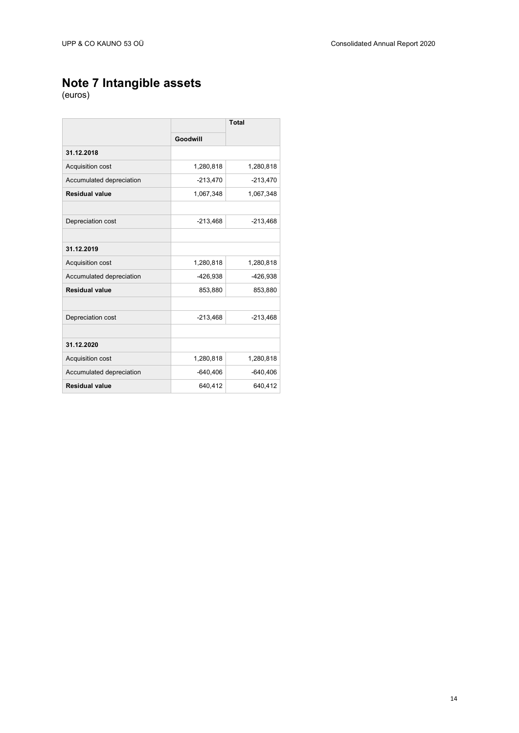### **Note 7 Intangible assets**

|                          |            | <b>Total</b> |
|--------------------------|------------|--------------|
|                          | Goodwill   |              |
| 31.12.2018               |            |              |
| Acquisition cost         | 1,280,818  | 1,280,818    |
| Accumulated depreciation | $-213,470$ | $-213,470$   |
| <b>Residual value</b>    | 1,067,348  | 1,067,348    |
|                          |            |              |
| Depreciation cost        | $-213,468$ | $-213,468$   |
|                          |            |              |
| 31.12.2019               |            |              |
| <b>Acquisition cost</b>  | 1,280,818  | 1,280,818    |
| Accumulated depreciation | $-426,938$ | $-426,938$   |
| <b>Residual value</b>    | 853,880    | 853,880      |
|                          |            |              |
| Depreciation cost        | $-213,468$ | $-213,468$   |
|                          |            |              |
| 31.12.2020               |            |              |
| Acquisition cost         | 1,280,818  | 1,280,818    |
| Accumulated depreciation | $-640,406$ | $-640,406$   |
| <b>Residual value</b>    | 640,412    | 640,412      |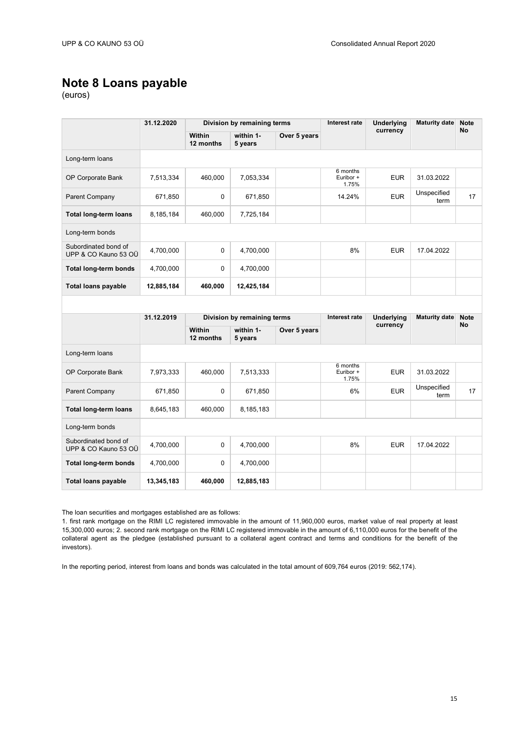### **Note 8 Loans payable**

(euros)

|                                              | 31.12.2020 | Division by remaining terms |                             | Interest rate<br>currency | <b>Underlying</b>              | <b>Maturity date</b> | <b>Note</b><br><b>No</b> |             |
|----------------------------------------------|------------|-----------------------------|-----------------------------|---------------------------|--------------------------------|----------------------|--------------------------|-------------|
|                                              |            | Within<br>12 months         | within 1-<br>5 years        | Over 5 years              |                                |                      |                          |             |
| Long-term loans                              |            |                             |                             |                           |                                |                      |                          |             |
| OP Corporate Bank                            | 7,513,334  | 460,000                     | 7,053,334                   |                           | 6 months<br>Euribor +<br>1.75% | <b>EUR</b>           | 31.03.2022               |             |
| Parent Company                               | 671,850    | 0                           | 671,850                     |                           | 14.24%                         | <b>EUR</b>           | Unspecified<br>term      | 17          |
| <b>Total long-term loans</b>                 | 8,185,184  | 460,000                     | 7,725,184                   |                           |                                |                      |                          |             |
| Long-term bonds                              |            |                             |                             |                           |                                |                      |                          |             |
| Subordinated bond of<br>UPP & CO Kauno 53 OÜ | 4,700,000  | $\mathbf 0$                 | 4,700,000                   |                           | 8%                             | <b>EUR</b>           | 17.04.2022               |             |
| <b>Total long-term bonds</b>                 | 4,700,000  | $\mathbf 0$                 | 4,700,000                   |                           |                                |                      |                          |             |
| <b>Total loans payable</b>                   | 12,885,184 | 460,000                     | 12,425,184                  |                           |                                |                      |                          |             |
|                                              |            |                             |                             |                           |                                |                      |                          |             |
|                                              |            |                             |                             |                           |                                |                      |                          |             |
|                                              | 31.12.2019 |                             | Division by remaining terms |                           | Interest rate                  | <b>Underlying</b>    | <b>Maturity date</b>     | <b>Note</b> |
|                                              |            | Within<br>12 months         | within 1-<br>5 years        | Over 5 years              |                                | currency             |                          | No          |
| Long-term loans                              |            |                             |                             |                           |                                |                      |                          |             |
| OP Corporate Bank                            | 7,973,333  | 460,000                     | 7,513,333                   |                           | 6 months<br>Euribor +<br>1.75% | <b>EUR</b>           | 31.03.2022               |             |
| Parent Company                               | 671,850    | 0                           | 671,850                     |                           | 6%                             | <b>EUR</b>           | Unspecified<br>term      | 17          |
| <b>Total long-term loans</b>                 | 8,645,183  | 460,000                     | 8,185,183                   |                           |                                |                      |                          |             |
| Long-term bonds                              |            |                             |                             |                           |                                |                      |                          |             |
| Subordinated bond of<br>UPP & CO Kauno 53 OÜ | 4,700,000  | $\mathbf 0$                 | 4,700,000                   |                           | 8%                             | <b>EUR</b>           | 17.04.2022               |             |
| <b>Total long-term bonds</b>                 | 4,700,000  | $\mathbf 0$                 | 4,700,000                   |                           |                                |                      |                          |             |

The loan securities and mortgages established are as follows:

1. first rank mortgage on the RIMI LC registered immovable in the amount of 11,960,000 euros, market value of real property at least 15,300,000 euros; 2. second rank mortgage on the RIMI LC registered immovable in the amount of 6,110,000 euros for the benefit of the collateral agent as the pledgee (established pursuant to a collateral agent contract and terms and conditions for the benefit of the investors).

In the reporting period, interest from loans and bonds was calculated in the total amount of 609,764 euros (2019: 562,174).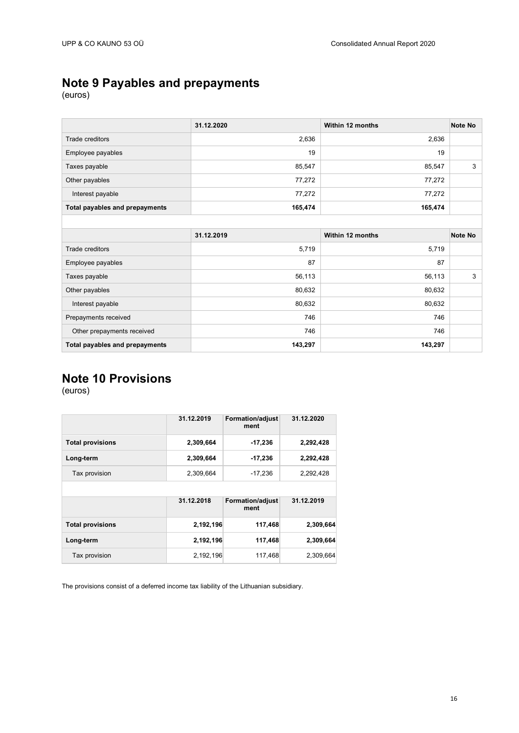## **Note 9 Payables and prepayments**

(euros)

|                                | 31.12.2020 | Within 12 months | Note No |
|--------------------------------|------------|------------------|---------|
| Trade creditors                | 2,636      | 2,636            |         |
| Employee payables              | 19         | 19               |         |
| Taxes payable                  | 85,547     | 85,547           | 3       |
| Other payables                 | 77,272     | 77,272           |         |
| Interest payable               | 77,272     | 77,272           |         |
| Total payables and prepayments | 165,474    | 165,474          |         |
|                                |            |                  |         |
|                                | 31.12.2019 | Within 12 months | Note No |
| Trade creditors                | 5,719      | 5,719            |         |
|                                |            |                  |         |
| Employee payables              | 87         | 87               |         |
| Taxes payable                  | 56,113     | 56,113           | 3       |
| Other payables                 | 80,632     | 80,632           |         |
| Interest payable               | 80,632     | 80,632           |         |
| Prepayments received           | 746        | 746              |         |
| Other prepayments received     | 746        | 746              |         |

## **Note 10 Provisions**

(euros)

|                         | 31.12.2019 | <b>Formation/adjust</b><br>ment | 31.12.2020 |
|-------------------------|------------|---------------------------------|------------|
| <b>Total provisions</b> | 2,309,664  | $-17,236$                       | 2,292,428  |
| Long-term               | 2,309,664  | $-17,236$                       | 2,292,428  |
| Tax provision           | 2,309,664  | $-17,236$                       | 2,292,428  |
|                         |            |                                 |            |
|                         | 31.12.2018 | <b>Formation/adjust</b><br>ment | 31.12.2019 |
| <b>Total provisions</b> | 2,192,196  | 117,468                         | 2,309,664  |
| Long-term               | 2,192,196  | 117,468                         | 2,309,664  |
|                         |            |                                 |            |

The provisions consist of a deferred income tax liability of the Lithuanian subsidiary.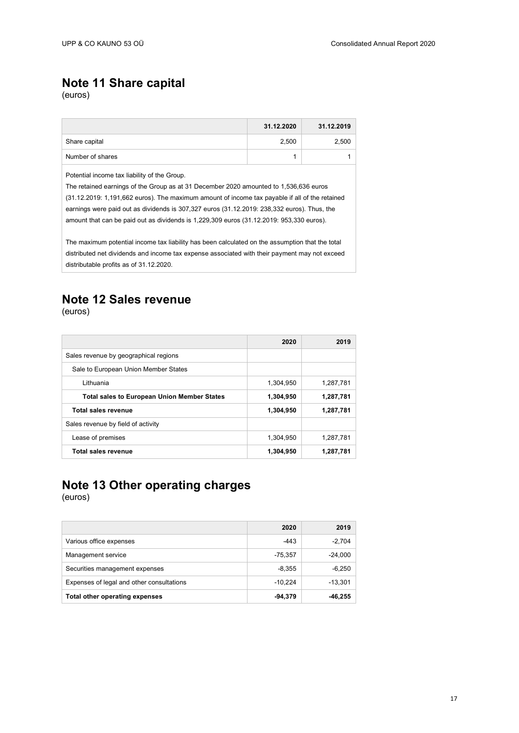### **Note 11 Share capital**

(euros)

|                  | 31.12.2020 | 31.12.2019 |
|------------------|------------|------------|
| Share capital    | 2.500      | 2,500      |
| Number of shares |            |            |

Potential income tax liability of the Group.

The retained earnings of the Group as at 31 December 2020 amounted to 1,536,636 euros (31.12.2019: 1,191,662 euros). The maximum amount of income tax payable if all of the retained earnings were paid out as dividends is 307,327 euros (31.12.2019: 238,332 euros). Thus, the amount that can be paid out as dividends is 1,229,309 euros (31.12.2019: 953,330 euros).

The maximum potential income tax liability has been calculated on the assumption that the total distributed net dividends and income tax expense associated with their payment may not exceed distributable profits as of 31.12.2020.

### **Note 12 Sales revenue**

(euros)

|                                                    | 2020      | 2019      |
|----------------------------------------------------|-----------|-----------|
| Sales revenue by geographical regions              |           |           |
| Sale to European Union Member States               |           |           |
| Lithuania                                          | 1,304,950 | 1.287.781 |
| <b>Total sales to European Union Member States</b> | 1,304,950 | 1,287,781 |
| Total sales revenue                                | 1,304,950 | 1,287,781 |
| Sales revenue by field of activity                 |           |           |
| Lease of premises                                  | 1,304,950 | 1,287,781 |
| Total sales revenue                                | 1,304,950 | 1,287,781 |

## **Note 13 Other operating charges**

|                                           | 2020      | 2019      |
|-------------------------------------------|-----------|-----------|
| Various office expenses                   | $-443$    | $-2,704$  |
| Management service                        | $-75,357$ | $-24,000$ |
| Securities management expenses            | $-8,355$  | $-6,250$  |
| Expenses of legal and other consultations | $-10.224$ | $-13.301$ |
| Total other operating expenses            | $-94.379$ | -46.255   |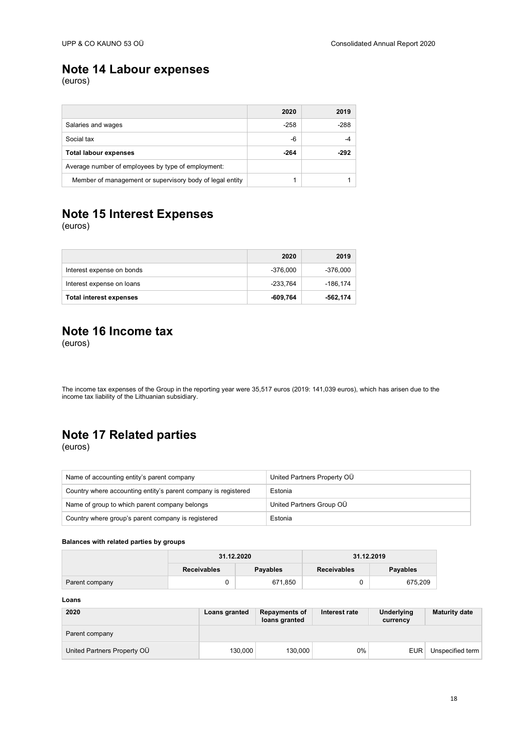### **Note 14 Labour expenses**

(euros)

|                                                          | 2020   | 2019 |
|----------------------------------------------------------|--------|------|
| Salaries and wages                                       | $-258$ | -288 |
| Social tax                                               | -6     |      |
| <b>Total labour expenses</b>                             | $-264$ | -292 |
| Average number of employees by type of employment:       |        |      |
| Member of management or supervisory body of legal entity |        |      |

## **Note 15 Interest Expenses**

(euros)

|                                | 2020     | 2019     |
|--------------------------------|----------|----------|
| Interest expense on bonds      | -376.000 | -376.000 |
| Interest expense on loans      | -233.764 | -186.174 |
| <b>Total interest expenses</b> | -609.764 | -562,174 |

### **Note 16 Income tax**

(euros)

The income tax expenses of the Group in the reporting year were 35,517 euros (2019: 141,039 euros), which has arisen due to the income tax liability of the Lithuanian subsidiary.

## **Note 17 Related parties**

(euros)

| Name of accounting entity's parent company                     | United Partners Property OÜ |
|----------------------------------------------------------------|-----------------------------|
| Country where accounting entity's parent company is registered | Estonia                     |
| Name of group to which parent company belongs                  | United Partners Group OÜ    |
| Country where group's parent company is registered             | Estonia                     |

### **Balances with related parties by groups**

|                | 31.12.2020         |          | 31.12.2019         |          |
|----------------|--------------------|----------|--------------------|----------|
|                | <b>Receivables</b> | Payables | <b>Receivables</b> | Payables |
| Parent company |                    | 671.850  |                    | 675.209  |

**Loans**

| 2020                        | Loans granted | <b>Repayments of</b><br>loans granted | Interest rate | <b>Underlying</b><br>currency | <b>Maturity date</b> |
|-----------------------------|---------------|---------------------------------------|---------------|-------------------------------|----------------------|
| Parent company              |               |                                       |               |                               |                      |
| United Partners Property OU | 130.000       | 130.000                               | 0%            | <b>EUR</b>                    | Unspecified term     |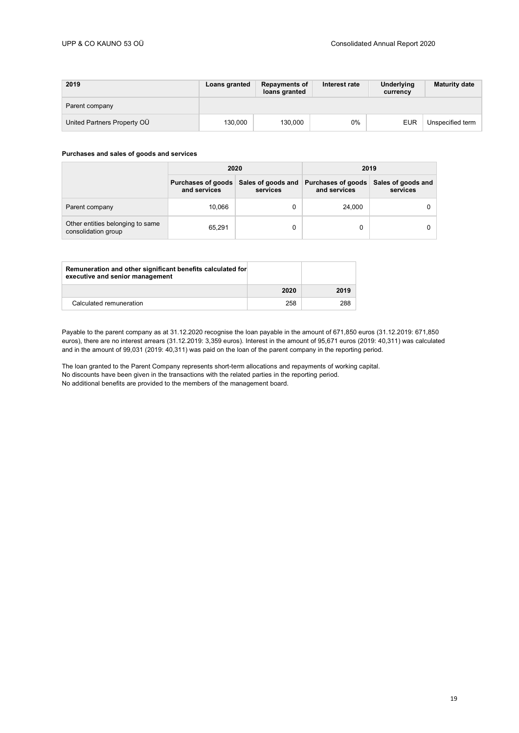| 2019                        | <b>Loans granted</b> | <b>Repayments of</b><br>loans granted | Interest rate | Underlying<br>currency | <b>Maturity date</b> |
|-----------------------------|----------------------|---------------------------------------|---------------|------------------------|----------------------|
| Parent company              |                      |                                       |               |                        |                      |
| United Partners Property OÜ | 130.000              | 130.000                               | $0\%$         | <b>EUR</b>             | Unspecified term     |

### **Purchases and sales of goods and services**

|                                                         | 2020         |                                                   | 2019                               |                                |
|---------------------------------------------------------|--------------|---------------------------------------------------|------------------------------------|--------------------------------|
|                                                         | and services | Purchases of goods Sales of goods and<br>services | Purchases of goods<br>and services | Sales of goods and<br>services |
| Parent company                                          | 10.066       | 0                                                 | 24,000                             |                                |
| Other entities belonging to same<br>consolidation group | 65,291       | 0                                                 |                                    |                                |

| Remuneration and other significant benefits calculated for<br>executive and senior management |      |      |
|-----------------------------------------------------------------------------------------------|------|------|
|                                                                                               | 2020 | 2019 |
| Calculated remuneration                                                                       | 258  | 288  |

Payable to the parent company as at 31.12.2020 recognise the loan payable in the amount of 671,850 euros (31.12.2019: 671,850 euros), there are no interest arrears (31.12.2019: 3,359 euros). Interest in the amount of 95,671 euros (2019: 40,311) was calculated and in the amount of 99,031 (2019: 40,311) was paid on the loan of the parent company in the reporting period.

The loan granted to the Parent Company represents short-term allocations and repayments of working capital. No discounts have been given in the transactions with the related parties in the reporting period. No additional benefits are provided to the members of the management board.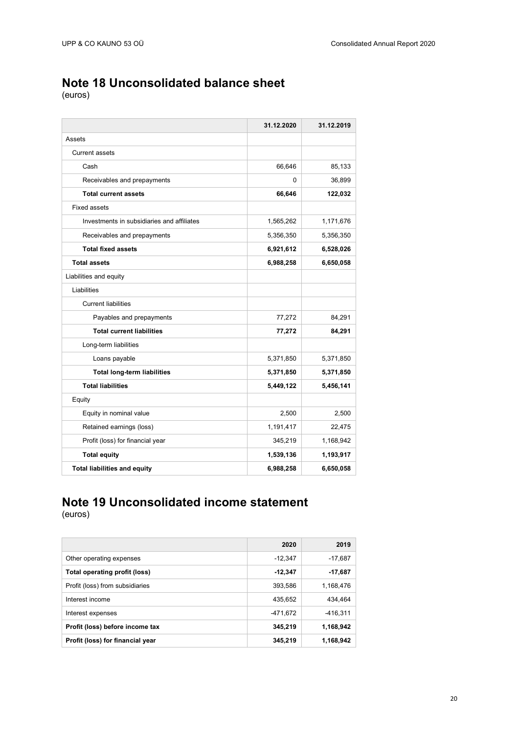## **Note 18 Unconsolidated balance sheet**

(euros)

|                                            | 31.12.2020 | 31.12.2019 |
|--------------------------------------------|------------|------------|
| Assets                                     |            |            |
| <b>Current assets</b>                      |            |            |
| Cash                                       | 66,646     | 85,133     |
| Receivables and prepayments                | 0          | 36,899     |
| <b>Total current assets</b>                | 66,646     | 122,032    |
| <b>Fixed assets</b>                        |            |            |
| Investments in subsidiaries and affiliates | 1,565,262  | 1,171,676  |
| Receivables and prepayments                | 5,356,350  | 5,356,350  |
| <b>Total fixed assets</b>                  | 6,921,612  | 6,528,026  |
| <b>Total assets</b>                        | 6,988,258  | 6,650,058  |
| Liabilities and equity                     |            |            |
| Liabilities                                |            |            |
| <b>Current liabilities</b>                 |            |            |
| Payables and prepayments                   | 77,272     | 84,291     |
| <b>Total current liabilities</b>           | 77,272     | 84,291     |
| Long-term liabilities                      |            |            |
| Loans payable                              | 5,371,850  | 5,371,850  |
| <b>Total long-term liabilities</b>         | 5,371,850  | 5,371,850  |
| <b>Total liabilities</b>                   | 5,449,122  | 5,456,141  |
| Equity                                     |            |            |
| Equity in nominal value                    | 2,500      | 2,500      |
| Retained earnings (loss)                   | 1,191,417  | 22,475     |
| Profit (loss) for financial year           | 345,219    | 1,168,942  |
| <b>Total equity</b>                        | 1,539,136  | 1,193,917  |
| <b>Total liabilities and equity</b>        | 6,988,258  | 6,650,058  |

### **Note 19 Unconsolidated income statement** (euros)

|                                  | 2020      | 2019       |
|----------------------------------|-----------|------------|
| Other operating expenses         | $-12.347$ | $-17,687$  |
| Total operating profit (loss)    | $-12.347$ | -17,687    |
| Profit (loss) from subsidiaries  | 393.586   | 1,168,476  |
| Interest income                  | 435.652   | 434.464    |
| Interest expenses                | -471.672  | $-416,311$ |
| Profit (loss) before income tax  | 345,219   | 1,168,942  |
| Profit (loss) for financial year | 345.219   | 1,168,942  |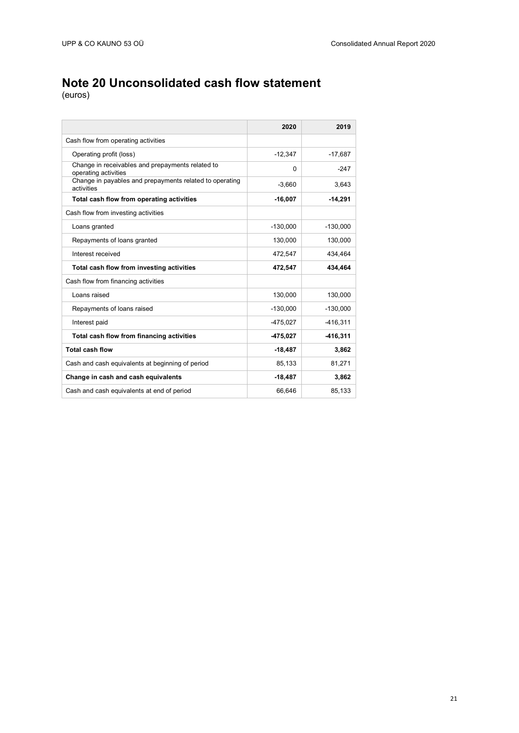## **Note 20 Unconsolidated cash flow statement**

|                                                                          | 2020       | 2019       |
|--------------------------------------------------------------------------|------------|------------|
| Cash flow from operating activities                                      |            |            |
| Operating profit (loss)                                                  | $-12,347$  | $-17,687$  |
| Change in receivables and prepayments related to<br>operating activities | $\Omega$   | $-247$     |
| Change in payables and prepayments related to operating<br>activities    | $-3,660$   | 3,643      |
| Total cash flow from operating activities                                | $-16,007$  | $-14,291$  |
| Cash flow from investing activities                                      |            |            |
| Loans granted                                                            | $-130,000$ | $-130,000$ |
| Repayments of loans granted                                              | 130,000    | 130,000    |
| Interest received                                                        | 472,547    | 434.464    |
| Total cash flow from investing activities                                | 472,547    | 434,464    |
| Cash flow from financing activities                                      |            |            |
| Loans raised                                                             | 130,000    | 130,000    |
| Repayments of loans raised                                               | $-130,000$ | $-130,000$ |
| Interest paid                                                            | $-475,027$ | $-416,311$ |
| Total cash flow from financing activities                                | -475,027   | -416,311   |
| <b>Total cash flow</b>                                                   | $-18,487$  | 3,862      |
| Cash and cash equivalents at beginning of period                         | 85,133     | 81,271     |
| Change in cash and cash equivalents                                      | $-18,487$  | 3,862      |
| Cash and cash equivalents at end of period                               | 66,646     | 85,133     |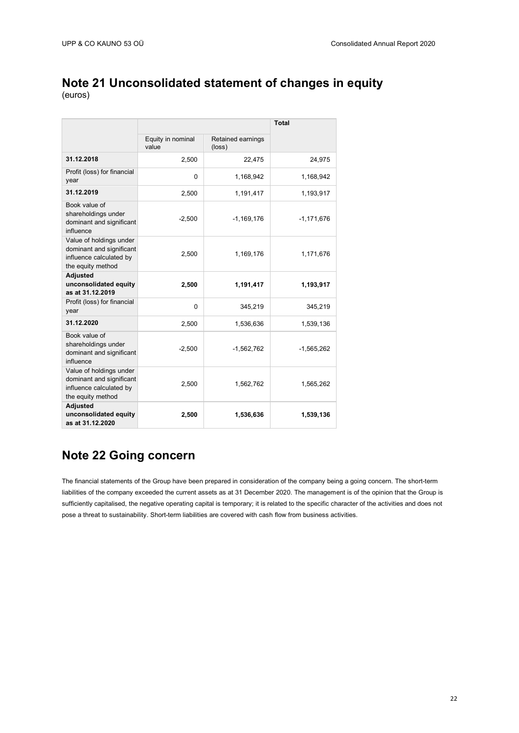## **Note 21 Unconsolidated statement of changes in equity**

(euros)

|                                                                                                     |                            |                             | <b>Total</b> |
|-----------------------------------------------------------------------------------------------------|----------------------------|-----------------------------|--------------|
|                                                                                                     | Equity in nominal<br>value | Retained earnings<br>(loss) |              |
| 31.12.2018                                                                                          | 2,500                      | 22,475                      | 24,975       |
| Profit (loss) for financial<br>year                                                                 | 0                          | 1,168,942                   | 1,168,942    |
| 31.12.2019                                                                                          | 2,500                      | 1,191,417                   | 1,193,917    |
| Book value of<br>shareholdings under<br>dominant and significant<br>influence                       | $-2,500$                   | $-1,169,176$                | $-1,171,676$ |
| Value of holdings under<br>dominant and significant<br>influence calculated by<br>the equity method | 2,500                      | 1,169,176                   | 1,171,676    |
| <b>Adjusted</b><br>unconsolidated equity<br>as at 31.12.2019                                        | 2,500                      | 1,191,417                   | 1,193,917    |
| Profit (loss) for financial<br>year                                                                 | $\overline{0}$             | 345,219                     | 345,219      |
| 31.12.2020                                                                                          | 2,500                      | 1,536,636                   | 1,539,136    |
| Book value of<br>shareholdings under<br>dominant and significant<br>influence                       | $-2,500$                   | $-1,562,762$                | $-1,565,262$ |
| Value of holdings under<br>dominant and significant<br>influence calculated by<br>the equity method | 2,500                      | 1,562,762                   | 1,565,262    |
| <b>Adjusted</b><br>unconsolidated equity<br>as at 31.12.2020                                        | 2,500                      | 1,536,636                   | 1,539,136    |

## **Note 22 Going concern**

The financial statements of the Group have been prepared in consideration of the company being a going concern. The short-term liabilities of the company exceeded the current assets as at 31 December 2020. The management is of the opinion that the Group is sufficiently capitalised, the negative operating capital is temporary; it is related to the specific character of the activities and does not pose a threat to sustainability. Short-term liabilities are covered with cash flow from business activities.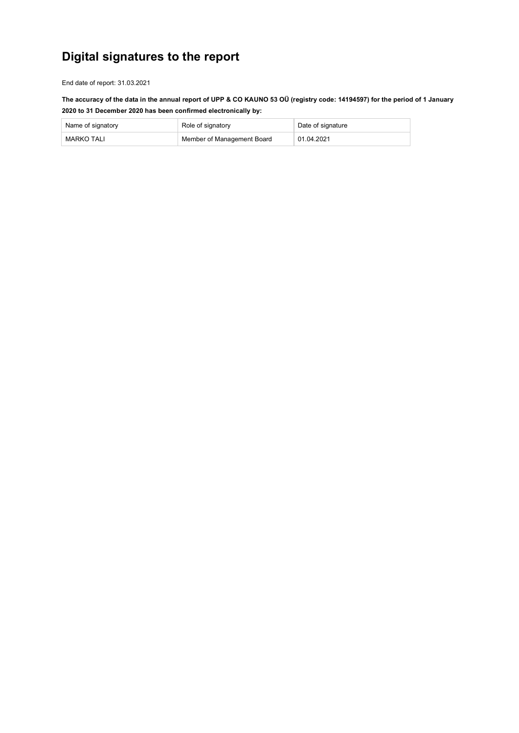# **Digital signatures to the report**

End date of report: 31.03.2021

**The accuracy of the data in the annual report of UPP & CO KAUNO 53 OÜ (registry code: 14194597) for the period of 1 January 2020 to 31 December 2020 has been confirmed electronically by:**

| Name of signatory | Role of signatory          | Date of signature |
|-------------------|----------------------------|-------------------|
| MARKO TALI        | Member of Management Board | 01.04.2021        |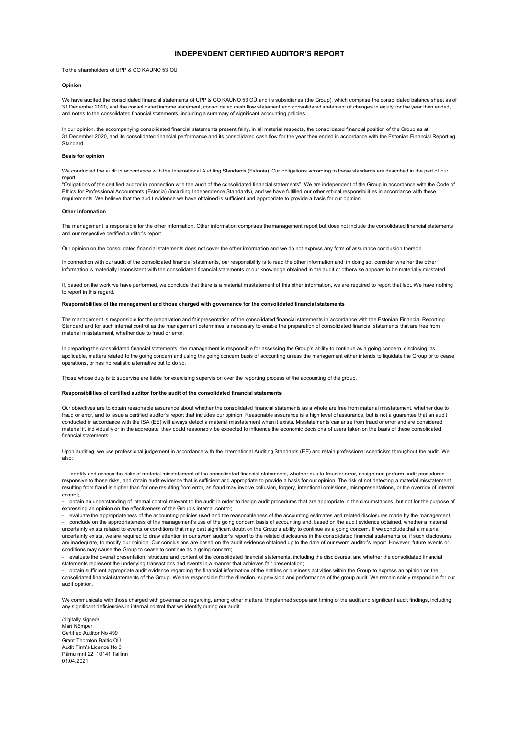### **INDEPENDENT CERTIFIED AUDITOR'S REPORT**

To the shareholders of UPP & CO KAUNO 53 OÜ

#### **Opinion**

We have audited the consolidated financial statements of UPP & CO KAUNO 53 OÜ and its subsidiaries (the Group), which comprise the consolidated balance sheet as of 31 December 2020, and the consolidated income statement, consolidated cash flow statement and consolidated statement of changes in equity for the year then ended, and notes to the consolidated financial statements, including a summary of significant accounting policies.

In our opinion, the accompanying consolidated financial statements present fairly, in all material respects, the consolidated financial position of the Group as at 31 December 2020, and its consolidated financial performance and its consolidated cash flow for the year then ended in accordance with the Estonian Financial Reporting Standard.

#### **Basis for opinion**

We conducted the audit in accordance with the International Auditing Standards (Estonia). Our obligations according to these standards are described in the part of our report

"Obligations of the certified auditor in connection with the audit of the consolidated financial statements". We are independent of the Group in accordance with the Code of Ethics for Professional Accountants (Estonia) (including Independence Standards), and we have fulfilled our other ethical responsibilities in accordance with these requirements. We believe that the audit evidence we have obtained is sufficient and appropriate to provide a basis for our opinion.

#### **Other information**

The management is responsible for the other information. Other information comprises the management report but does not include the consolidated financial statements and our respective certified auditor's report.

Our opinion on the consolidated financial statements does not cover the other information and we do not express any form of assurance conclusion thereon.

In connection with our audit of the consolidated financial statements, our responsibility is to read the other information and, in doing so, consider whether the other information is materially inconsistent with the consolidated financial statements or our knowledge obtained in the audit or otherwise appears to be materially misstated.

If, based on the work we have performed, we conclude that there is a material misstatement of this other information, we are required to report that fact. We have nothing to report in this regard.

#### **Responsibilities of the management and those charged with governance for the consolidated financial statements**

The management is responsible for the preparation and fair presentation of the consolidated financial statements in accordance with the Estonian Financial Reporting Standard and for such internal control as the management determines is necessary to enable the preparation of consolidated financial statements that are free from material misstatement, whether due to fraud or error.

In preparing the consolidated financial statements, the management is responsible for assessing the Group's ability to continue as a going concern, disclosing, as applicable, matters related to the going concern and using the going concern basis of accounting unless the management either intends to liquidate the Group or to cease operations, or has no realistic alternative but to do so.

Those whose duty is to supervise are liable for exercising supervision over the reporting process of the accounting of the group.

#### **Responsibilities of certified auditor for the audit of the consolidated financial statements**

Our objectives are to obtain reasonable assurance about whether the consolidated financial statements as a whole are free from material misstatement, whether due to fraud or error, and to issue a certified auditor's report that includes our opinion. Reasonable assurance is a high level of assurance, but is not a guarantee that an audit conducted in accordance with the ISA (EE) will always detect a material misstatement when it exists. Misstatements can arise from fraud or error and are considered material if, individually or in the aggregate, they could reasonably be expected to influence the economic decisions of users taken on the basis of these consolidated financial statements.

Upon auditing, we use professional judgement in accordance with the International Auditing Standards (EE) and retain professional scepticism throughout the audit. We also:

- identify and assess the risks of material misstatement of the consolidated financial statements, whether due to fraud or error, design and perform audit procedures responsive to those risks, and obtain audit evidence that is sufficient and appropriate to provide a basis for our opinion. The risk of not detecting a material misstatement resulting from fraud is higher than for one resulting from error, as fraud may involve collusion, forgery, intentional omissions, misrepresentations, or the override of internal control;

- obtain an understanding of internal control relevant to the audit in order to design audit procedures that are appropriate in the circumstances, but not for the purpose of expressing an opinion on the effectiveness of the Group's internal control;

- evaluate the appropriateness of the accounting policies used and the reasonableness of the accounting estimates and related disclosures made by the management; - conclude on the appropriateness of the management's use of the going concern basis of accounting and, based on the audit evidence obtained, whether a material uncertainty exists related to events or conditions that may cast significant doubt on the Group's ability to continue as a going concern. If we conclude that a material uncertainty exists, we are required to draw attention in our sworn auditor's report to the related disclosures in the consolidated financial statements or, if such disclosures

are inadequate, to modify our opinion. Our conclusions are based on the audit evidence obtained up to the date of our sworn auditor's report. However, future events or conditions may cause the Group to cease to continue as a going concern; - evaluate the overall presentation, structure and content of the consolidated financial statements, including the disclosures, and whether the consolidated financial

statements represent the underlying transactions and events in a manner that achieves fair presentation;

- obtain sufficient appropriate audit evidence regarding the financial information of the entities or business activities within the Group to express an opinion on the consolidated financial statements of the Group. We are responsible for the direction, supervision and performance of the group audit. We remain solely responsible for our audit opinion.

We communicate with those charged with governance regarding, among other matters, the planned scope and timing of the audit and significant audit findings, including any significant deficiencies in internal control that we identify during our audit.

/digitally signed/ Mart Nõmper Certified Auditor No 499 Grant Thornton Baltic OÜ Audit Firm's Licence No 3 Pärnu mnt 22, 10141 Tallinn 01.04.2021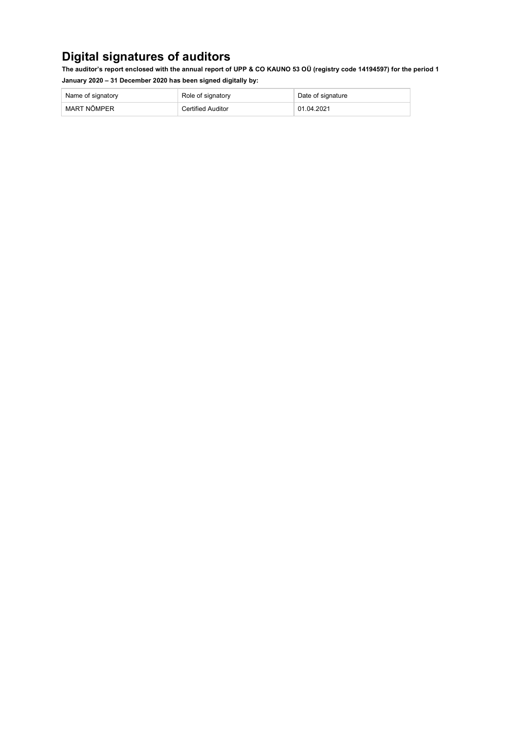## **Digital signatures of auditors**

**The auditor's report enclosed with the annual report of UPP & CO KAUNO 53 OÜ (registry code 14194597) for the period 1 January 2020 – 31 December 2020 has been signed digitally by:**

| Name of signatory | Role of signatory        | Date of signature |
|-------------------|--------------------------|-------------------|
| MART NÕMPER       | <b>Certified Auditor</b> | 01.04.2021        |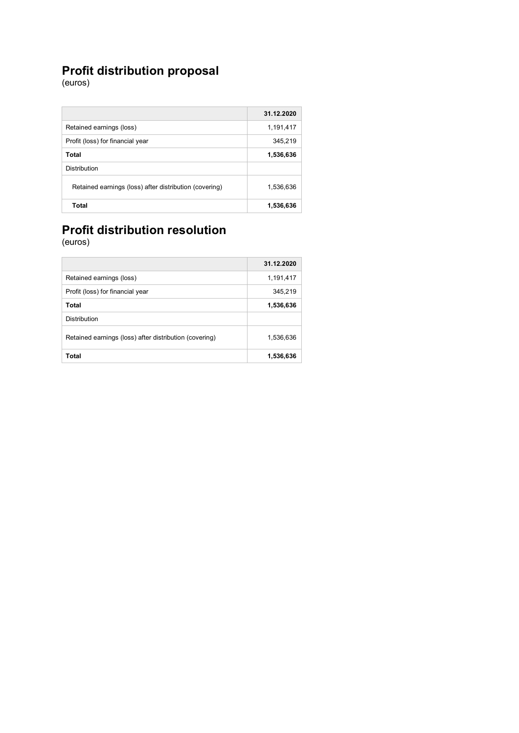### **Profit distribution proposal**

(euros)

|                                                        | 31.12.2020 |
|--------------------------------------------------------|------------|
| Retained earnings (loss)                               | 1,191,417  |
| Profit (loss) for financial year                       | 345,219    |
| Total                                                  | 1,536,636  |
| <b>Distribution</b>                                    |            |
| Retained earnings (loss) after distribution (covering) | 1,536,636  |
| Total                                                  | 1,536,636  |

# **Profit distribution resolution**

|                                                        | 31.12.2020 |
|--------------------------------------------------------|------------|
| Retained earnings (loss)                               | 1,191,417  |
| Profit (loss) for financial year                       | 345,219    |
| Total                                                  | 1,536,636  |
| <b>Distribution</b>                                    |            |
| Retained earnings (loss) after distribution (covering) | 1,536,636  |
| Total                                                  | 1,536,636  |